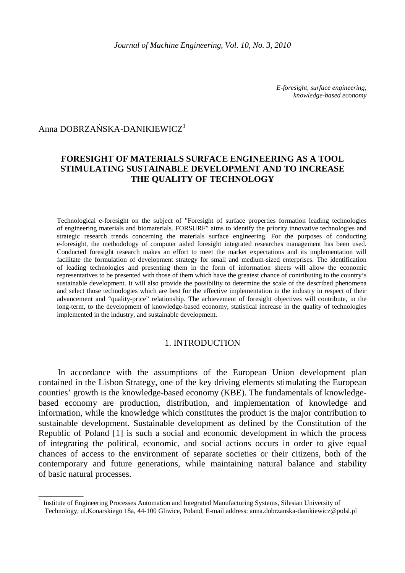*E-foresight, surface engineering, knowledge-based economy* 

# Anna DOBRZAŃSKA-DANIKIEWICZ<sup>1</sup>

 $\overline{\phantom{a}}$  , we can also the set of  $\overline{\phantom{a}}$ 

## **FORESIGHT OF MATERIALS SURFACE ENGINEERING AS A TOOL STIMULATING SUSTAINABLE DEVELOPMENT AND TO INCREASE THE QUALITY OF TECHNOLOGY**

Technological e-foresight on the subject of "Foresight of surface properties formation leading technologies of engineering materials and biomaterials. FORSURF" aims to identify the priority innovative technologies and strategic research trends concerning the materials surface engineering. For the purposes of conducting e-foresight, the methodology of computer aided foresight integrated researches management has been used. Conducted foresight research makes an effort to meet the market expectations and its implementation will facilitate the formulation of development strategy for small and medium-sized enterprises. The identification of leading technologies and presenting them in the form of information sheets will allow the economic representatives to be presented with those of them which have the greatest chance of contributing to the country's sustainable development. It will also provide the possibility to determine the scale of the described phenomena and select those technologies which are best for the effective implementation in the industry in respect of their advancement and "quality-price" relationship. The achievement of foresight objectives will contribute, in the long-term, to the development of knowledge-based economy, statistical increase in the quality of technologies implemented in the industry, and sustainable development.

### 1. INTRODUCTION

In accordance with the assumptions of the European Union development plan contained in the Lisbon Strategy, one of the key driving elements stimulating the European counties' growth is the knowledge-based economy (KBE). The fundamentals of knowledgebased economy are production, distribution, and implementation of knowledge and information, while the knowledge which constitutes the product is the major contribution to sustainable development. Sustainable development as defined by the Constitution of the Republic of Poland [1] is such a social and economic development in which the process of integrating the political, economic, and social actions occurs in order to give equal chances of access to the environment of separate societies or their citizens, both of the contemporary and future generations, while maintaining natural balance and stability of basic natural processes.

<sup>1</sup> Institute of Engineering Processes Automation and Integrated Manufacturing Systems, Silesian University of Technology, ul.Konarskiego 18a, 44-100 Gliwice, Poland, E-mail address: anna.dobrzanska-danikiewicz@polsl.pl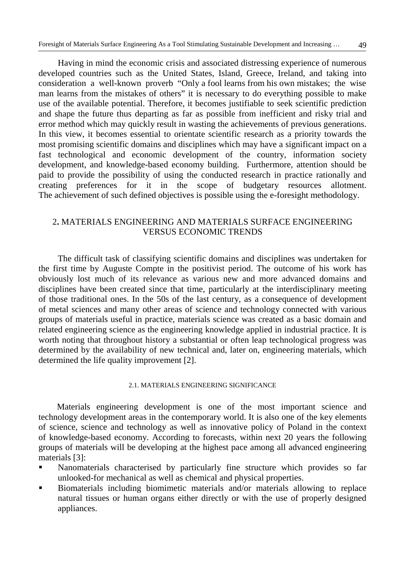Having in mind the economic crisis and associated distressing experience of numerous developed countries such as the United States, Island, Greece, Ireland, and taking into consideration a well-known proverb "Only a fool learns from his own mistakes; the wise man learns from the mistakes of others" it is necessary to do everything possible to make use of the available potential. Therefore, it becomes justifiable to seek scientific prediction and shape the future thus departing as far as possible from inefficient and risky trial and error method which may quickly result in wasting the achievements of previous generations. In this view, it becomes essential to orientate scientific research as a priority towards the most promising scientific domains and disciplines which may have a significant impact on a fast technological and economic development of the country, information society development, and knowledge-based economy building. Furthermore, attention should be paid to provide the possibility of using the conducted research in practice rationally and creating preferences for it in the scope of budgetary resources allotment. The achievement of such defined objectives is possible using the e-foresight methodology.

## 2**.** MATERIALS ENGINEERING AND MATERIALS SURFACE ENGINEERING VERSUS ECONOMIC TRENDS

 The difficult task of classifying scientific domains and disciplines was undertaken for the first time by Auguste Compte in the positivist period. The outcome of his work has obviously lost much of its relevance as various new and more advanced domains and disciplines have been created since that time, particularly at the interdisciplinary meeting of those traditional ones. In the 50s of the last century, as a consequence of development of metal sciences and many other areas of science and technology connected with various groups of materials useful in practice, materials science was created as a basic domain and related engineering science as the engineering knowledge applied in industrial practice. It is worth noting that throughout history a substantial or often leap technological progress was determined by the availability of new technical and, later on, engineering materials, which determined the life quality improvement [2].

#### 2.1. MATERIALS ENGINEERING SIGNIFICANCE

Materials engineering development is one of the most important science and technology development areas in the contemporary world. It is also one of the key elements of science, science and technology as well as innovative policy of Poland in the context of knowledge-based economy. According to forecasts, within next 20 years the following groups of materials will be developing at the highest pace among all advanced engineering materials [3]:

- Nanomaterials characterised by particularly fine structure which provides so far unlooked-for mechanical as well as chemical and physical properties.
- Biomaterials including biomimetic materials and/or materials allowing to replace natural tissues or human organs either directly or with the use of properly designed appliances.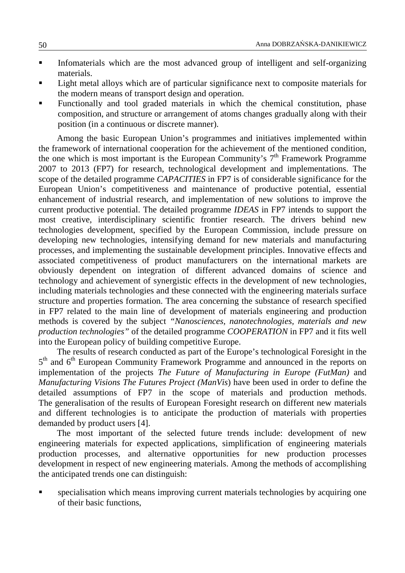- Infomaterials which are the most advanced group of intelligent and self-organizing materials.
- Light metal alloys which are of particular significance next to composite materials for the modern means of transport design and operation.
- Functionally and tool graded materials in which the chemical constitution, phase composition, and structure or arrangement of atoms changes gradually along with their position (in a continuous or discrete manner).

Among the basic European Union's programmes and initiatives implemented within the framework of international cooperation for the achievement of the mentioned condition, the one which is most important is the European Community's  $7<sup>th</sup>$  Framework Programme 2007 to 2013 (FP7) for research, technological development and implementations. The scope of the detailed programme *CAPACITIES* in FP7 is of considerable significance for the European Union's competitiveness and maintenance of productive potential, essential enhancement of industrial research, and implementation of new solutions to improve the current productive potential. The detailed programme *IDEAS* in FP7 intends to support the most creative, interdisciplinary scientific frontier research. The drivers behind new technologies development, specified by the European Commission, include pressure on developing new technologies, intensifying demand for new materials and manufacturing processes, and implementing the sustainable development principles. Innovative effects and associated competitiveness of product manufacturers on the international markets are obviously dependent on integration of different advanced domains of science and technology and achievement of synergistic effects in the development of new technologies, including materials technologies and these connected with the engineering materials surface structure and properties formation. The area concerning the substance of research specified in FP7 related to the main line of development of materials engineering and production methods is covered by the subject *"Nanosciences, nanotechnologies, materials and new production technologies"* of the detailed programme *COOPERATION* in FP7 and it fits well into the European policy of building competitive Europe.

The results of research conducted as part of the Europe's technological Foresight in the 5<sup>th</sup> and 6<sup>th</sup> European Community Framework Programme and announced in the reports on implementation of the projects *The Future of Manufacturing in Europe (FutMan)* and *Manufacturing Visions The Futures Project (ManVis*) have been used in order to define the detailed assumptions of FP7 in the scope of materials and production methods. The generalisation of the results of European Foresight research on different new materials and different technologies is to anticipate the production of materials with properties demanded by product users [4].

The most important of the selected future trends include: development of new engineering materials for expected applications, simplification of engineering materials production processes, and alternative opportunities for new production processes development in respect of new engineering materials. Among the methods of accomplishing the anticipated trends one can distinguish:

 specialisation which means improving current materials technologies by acquiring one of their basic functions,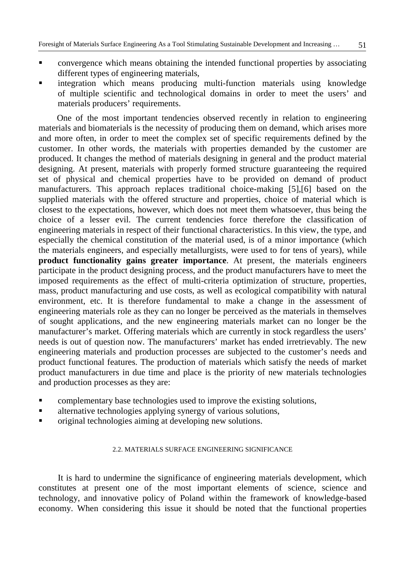- convergence which means obtaining the intended functional properties by associating different types of engineering materials,
- integration which means producing multi-function materials using knowledge of multiple scientific and technological domains in order to meet the users' and materials producers' requirements.

One of the most important tendencies observed recently in relation to engineering materials and biomaterials is the necessity of producing them on demand, which arises more and more often, in order to meet the complex set of specific requirements defined by the customer. In other words, the materials with properties demanded by the customer are produced. It changes the method of materials designing in general and the product material designing. At present, materials with properly formed structure guaranteeing the required set of physical and chemical properties have to be provided on demand of product manufacturers. This approach replaces traditional choice-making [5],[6] based on the supplied materials with the offered structure and properties, choice of material which is closest to the expectations, however, which does not meet them whatsoever, thus being the choice of a lesser evil. The current tendencies force therefore the classification of engineering materials in respect of their functional characteristics. In this view, the type, and especially the chemical constitution of the material used, is of a minor importance (which the materials engineers, and especially metallurgists, were used to for tens of years), while **product functionality gains greater importance**. At present, the materials engineers participate in the product designing process, and the product manufacturers have to meet the imposed requirements as the effect of multi-criteria optimization of structure, properties, mass, product manufacturing and use costs, as well as ecological compatibility with natural environment, etc. It is therefore fundamental to make a change in the assessment of engineering materials role as they can no longer be perceived as the materials in themselves of sought applications, and the new engineering materials market can no longer be the manufacturer's market. Offering materials which are currently in stock regardless the users' needs is out of question now. The manufacturers' market has ended irretrievably. The new engineering materials and production processes are subjected to the customer's needs and product functional features. The production of materials which satisfy the needs of market product manufacturers in due time and place is the priority of new materials technologies and production processes as they are:

- complementary base technologies used to improve the existing solutions,
- **alternative technologies applying synergy of various solutions,**
- original technologies aiming at developing new solutions.

### 2.2. MATERIALS SURFACE ENGINEERING SIGNIFICANCE

It is hard to undermine the significance of engineering materials development, which constitutes at present one of the most important elements of science, science and technology, and innovative policy of Poland within the framework of knowledge-based economy. When considering this issue it should be noted that the functional properties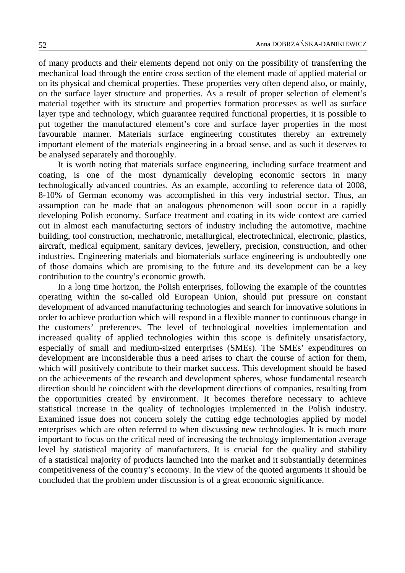of many products and their elements depend not only on the possibility of transferring the mechanical load through the entire cross section of the element made of applied material or on its physical and chemical properties. These properties very often depend also, or mainly, on the surface layer structure and properties. As a result of proper selection of element's material together with its structure and properties formation processes as well as surface layer type and technology, which guarantee required functional properties, it is possible to put together the manufactured element's core and surface layer properties in the most favourable manner. Materials surface engineering constitutes thereby an extremely important element of the materials engineering in a broad sense, and as such it deserves to be analysed separately and thoroughly.

It is worth noting that materials surface engineering, including surface treatment and coating, is one of the most dynamically developing economic sectors in many technologically advanced countries. As an example, according to reference data of 2008, 8-10% of German economy was accomplished in this very industrial sector. Thus, an assumption can be made that an analogous phenomenon will soon occur in a rapidly developing Polish economy. Surface treatment and coating in its wide context are carried out in almost each manufacturing sectors of industry including the automotive, machine building, tool construction, mechatronic, metallurgical, electrotechnical, electronic, plastics, aircraft, medical equipment, sanitary devices, jewellery, precision, construction, and other industries. Engineering materials and biomaterials surface engineering is undoubtedly one of those domains which are promising to the future and its development can be a key contribution to the country's economic growth.

In a long time horizon, the Polish enterprises, following the example of the countries operating within the so-called old European Union, should put pressure on constant development of advanced manufacturing technologies and search for innovative solutions in order to achieve production which will respond in a flexible manner to continuous change in the customers' preferences. The level of technological novelties implementation and increased quality of applied technologies within this scope is definitely unsatisfactory, especially of small and medium-sized enterprises (SMEs). The SMEs' expenditures on development are inconsiderable thus a need arises to chart the course of action for them, which will positively contribute to their market success. This development should be based on the achievements of the research and development spheres, whose fundamental research direction should be coincident with the development directions of companies, resulting from the opportunities created by environment. It becomes therefore necessary to achieve statistical increase in the quality of technologies implemented in the Polish industry. Examined issue does not concern solely the cutting edge technologies applied by model enterprises which are often referred to when discussing new technologies. It is much more important to focus on the critical need of increasing the technology implementation average level by statistical majority of manufacturers. It is crucial for the quality and stability of a statistical majority of products launched into the market and it substantially determines competitiveness of the country's economy. In the view of the quoted arguments it should be concluded that the problem under discussion is of a great economic significance.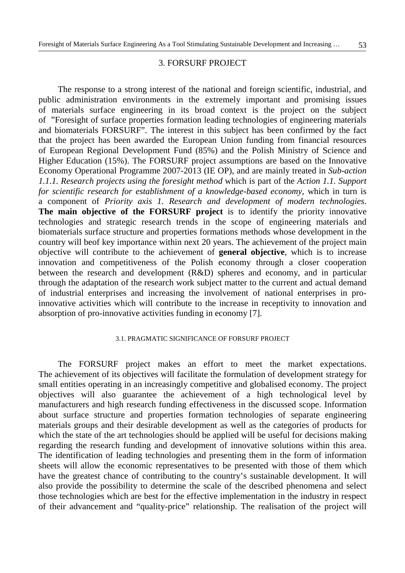#### 3. FORSURF PROJECT

The response to a strong interest of the national and foreign scientific, industrial, and public administration environments in the extremely important and promising issues of materials surface engineering in its broad context is the project on the subject of "Foresight of surface properties formation leading technologies of engineering materials and biomaterials FORSURF". The interest in this subject has been confirmed by the fact that the project has been awarded the European Union funding from financial resources of European Regional Development Fund (85%) and the Polish Ministry of Science and Higher Education (15%). The FORSURF project assumptions are based on the Innovative Economy Operational Programme 2007-2013 (IE OP), and are mainly treated in *Sub-action 1.1.1. Research projects using the foresight method* which is part of the *Action 1.1. Support for scientific research for establishment of a knowledge-based economy*, which in turn is a component of *Priority axis 1. Research and development of modern technologies*. **The main objective of the FORSURF project** is to identify the priority innovative technologies and strategic research trends in the scope of engineering materials and biomaterials surface structure and properties formations methods whose development in the country will beof key importance within next 20 years. The achievement of the project main objective will contribute to the achievement of **general objective**, which is to increase innovation and competitiveness of the Polish economy through a closer cooperation between the research and development (R&D) spheres and economy, and in particular through the adaptation of the research work subject matter to the current and actual demand of industrial enterprises and increasing the involvement of national enterprises in proinnovative activities which will contribute to the increase in receptivity to innovation and absorption of pro-innovative activities funding in economy [7].

#### 3.1. PRAGMATIC SIGNIFICANCE OF FORSURF PROJECT

The FORSURF project makes an effort to meet the market expectations. The achievement of its objectives will facilitate the formulation of development strategy for small entities operating in an increasingly competitive and globalised economy. The project objectives will also guarantee the achievement of a high technological level by manufacturers and high research funding effectiveness in the discussed scope. Information about surface structure and properties formation technologies of separate engineering materials groups and their desirable development as well as the categories of products for which the state of the art technologies should be applied will be useful for decisions making regarding the research funding and development of innovative solutions within this area. The identification of leading technologies and presenting them in the form of information sheets will allow the economic representatives to be presented with those of them which have the greatest chance of contributing to the country's sustainable development. It will also provide the possibility to determine the scale of the described phenomena and select those technologies which are best for the effective implementation in the industry in respect of their advancement and "quality-price" relationship. The realisation of the project will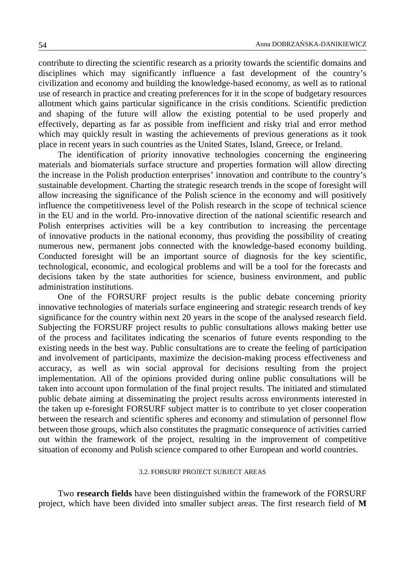contribute to directing the scientific research as a priority towards the scientific domains and disciplines which may significantly influence a fast development of the country's civilization and economy and building the knowledge-based economy, as well as to rational use of research in practice and creating preferences for it in the scope of budgetary resources allotment which gains particular significance in the crisis conditions. Scientific prediction and shaping of the future will allow the existing potential to be used properly and effectively, departing as far as possible from inefficient and risky trial and error method which may quickly result in wasting the achievements of previous generations as it took place in recent years in such countries as the United States, Island, Greece, or Ireland.

The identification of priority innovative technologies concerning the engineering materials and biomaterials surface structure and properties formation will allow directing the increase in the Polish production enterprises' innovation and contribute to the country's sustainable development. Charting the strategic research trends in the scope of foresight will allow increasing the significance of the Polish science in the economy and will positively influence the competitiveness level of the Polish research in the scope of technical science in the EU and in the world. Pro-innovative direction of the national scientific research and Polish enterprises activities will be a key contribution to increasing the percentage of innovative products in the national economy, thus providing the possibility of creating numerous new, permanent jobs connected with the knowledge-based economy building. Conducted foresight will be an important source of diagnosis for the key scientific, technological, economic, and ecological problems and will be a tool for the forecasts and decisions taken by the state authorities for science, business environment, and public administration institutions.

One of the FORSURF project results is the public debate concerning priority innovative technologies of materials surface engineering and strategic research trends of key significance for the country within next 20 years in the scope of the analysed research field. Subjecting the FORSURF project results to public consultations allows making better use of the process and facilitates indicating the scenarios of future events responding to the existing needs in the best way. Public consultations are to create the feeling of participation and involvement of participants, maximize the decision-making process effectiveness and accuracy, as well as win social approval for decisions resulting from the project implementation. All of the opinions provided during online public consultations will be taken into account upon formulation of the final project results. The initiated and stimulated public debate aiming at disseminating the project results across environments interested in the taken up e-foresight FORSURF subject matter is to contribute to yet closer cooperation between the research and scientific spheres and economy and stimulation of personnel flow between those groups, which also constitutes the pragmatic consequence of activities carried out within the framework of the project, resulting in the improvement of competitive situation of economy and Polish science compared to other European and world countries.

### 3.2. FORSURF PROJECT SUBJECT AREAS

Two **research fields** have been distinguished within the framework of the FORSURF project, which have been divided into smaller subject areas. The first research field of **M**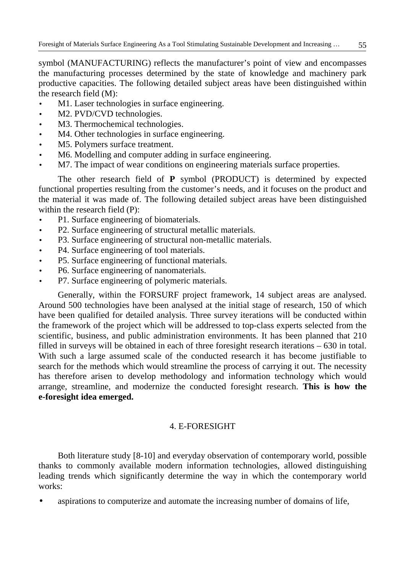symbol (MANUFACTURING) reflects the manufacturer's point of view and encompasses the manufacturing processes determined by the state of knowledge and machinery park productive capacities. The following detailed subject areas have been distinguished within the research field (M):

- M1. Laser technologies in surface engineering.
- M2. PVD/CVD technologies.
- M3. Thermochemical technologies.
- M4. Other technologies in surface engineering.
- M5. Polymers surface treatment.
- M6. Modelling and computer adding in surface engineering.
- M7. The impact of wear conditions on engineering materials surface properties.

The other research field of **P** symbol (PRODUCT) is determined by expected functional properties resulting from the customer's needs, and it focuses on the product and the material it was made of. The following detailed subject areas have been distinguished within the research field (P):

- P1. Surface engineering of biomaterials.
- P2. Surface engineering of structural metallic materials.
- P3. Surface engineering of structural non-metallic materials.
- P4. Surface engineering of tool materials.
- P5. Surface engineering of functional materials.
- P6. Surface engineering of nanomaterials.
- P7. Surface engineering of polymeric materials.

Generally, within the FORSURF project framework, 14 subject areas are analysed. Around 500 technologies have been analysed at the initial stage of research, 150 of which have been qualified for detailed analysis. Three survey iterations will be conducted within the framework of the project which will be addressed to top-class experts selected from the scientific, business, and public administration environments. It has been planned that 210 filled in surveys will be obtained in each of three foresight research iterations – 630 in total. With such a large assumed scale of the conducted research it has become justifiable to search for the methods which would streamline the process of carrying it out. The necessity has therefore arisen to develop methodology and information technology which would arrange, streamline, and modernize the conducted foresight research. **This is how the e-foresight idea emerged.**

# 4. E-FORESIGHT

Both literature study [8-10] and everyday observation of contemporary world, possible thanks to commonly available modern information technologies, allowed distinguishing leading trends which significantly determine the way in which the contemporary world works:

aspirations to computerize and automate the increasing number of domains of life,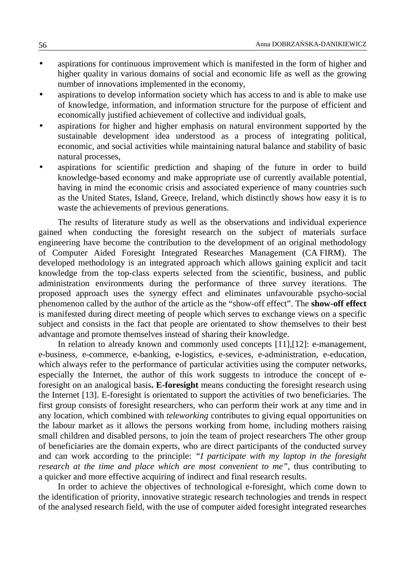- aspirations for continuous improvement which is manifested in the form of higher and higher quality in various domains of social and economic life as well as the growing number of innovations implemented in the economy,
- aspirations to develop information society which has access to and is able to make use of knowledge, information, and information structure for the purpose of efficient and economically justified achievement of collective and individual goals,
- aspirations for higher and higher emphasis on natural environment supported by the sustainable development idea understood as a process of integrating political, economic, and social activities while maintaining natural balance and stability of basic natural processes,
- aspirations for scientific prediction and shaping of the future in order to build knowledge-based economy and make appropriate use of currently available potential, having in mind the economic crisis and associated experience of many countries such as the United States, Island, Greece, Ireland, which distinctly shows how easy it is to waste the achievements of previous generations.

The results of literature study as well as the observations and individual experience gained when conducting the foresight research on the subject of materials surface engineering have become the contribution to the development of an original methodology of Computer Aided Foresight Integrated Researches Management (CA FIRM). The developed methodology is an integrated approach which allows gaining explicit and tacit knowledge from the top-class experts selected from the scientific, business, and public administration environments during the performance of three survey iterations. The proposed approach uses the synergy effect and eliminates unfavourable psycho-social phenomenon called by the author of the article as the "show-off effect". The **show-off effect** is manifested during direct meeting of people which serves to exchange views on a specific subject and consists in the fact that people are orientated to show themselves to their best advantage and promote themselves instead of sharing their knowledge.

In relation to already known and commonly used concepts [11],[12]: e-management, e-business, e-commerce, e-banking, e-logistics, e-sevices, e-administration, e-education, which always refer to the performance of particular activities using the computer networks, especially the Internet, the author of this work suggests to introduce the concept of eforesight on an analogical basis**. E-foresight** means conducting the foresight research using the Internet [13]. E-foresight is orientated to support the activities of two beneficiaries. The first group consists of foresight researchers, who can perform their work at any time and in any location, which combined with *teleworking* contributes to giving equal opportunities on the labour market as it allows the persons working from home, including mothers raising small children and disabled persons, to join the team of project researchers The other group of beneficiaries are the domain experts, who are direct participants of the conducted survey and can work according to the principle: *"I participate with my laptop in the foresight research at the time and place which are most convenient to me"*, thus contributing to a quicker and more effective acquiring of indirect and final research results.

In order to achieve the objectives of technological e-foresight, which come down to the identification of priority, innovative strategic research technologies and trends in respect of the analysed research field, with the use of computer aided foresight integrated researches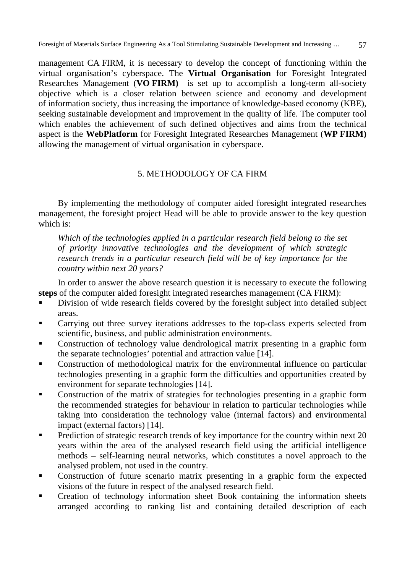management CA FIRM, it is necessary to develop the concept of functioning within the virtual organisation's cyberspace. The **Virtual Organisation** for Foresight Integrated Researches Management (**VO FIRM)** is set up to accomplish a long-term all-society objective which is a closer relation between science and economy and development of information society, thus increasing the importance of knowledge-based economy (KBE), seeking sustainable development and improvement in the quality of life. The computer tool which enables the achievement of such defined objectives and aims from the technical aspect is the **WebPlatform** for Foresight Integrated Researches Management (**WP FIRM)** allowing the management of virtual organisation in cyberspace.

# 5. METHODOLOGY OF CA FIRM

By implementing the methodology of computer aided foresight integrated researches management, the foresight project Head will be able to provide answer to the key question which is:

*Which of the technologies applied in a particular research field belong to the set of priority innovative technologies and the development of which strategic*  research trends in a particular research field will be of key importance for the *country within next 20 years?*

In order to answer the above research question it is necessary to execute the following **steps** of the computer aided foresight integrated researches management (CA FIRM):

- Division of wide research fields covered by the foresight subject into detailed subject areas.
- Carrying out three survey iterations addresses to the top-class experts selected from scientific, business, and public administration environments.
- Construction of technology value dendrological matrix presenting in a graphic form the separate technologies' potential and attraction value [14].
- Construction of methodological matrix for the environmental influence on particular technologies presenting in a graphic form the difficulties and opportunities created by environment for separate technologies [14].
- Construction of the matrix of strategies for technologies presenting in a graphic form the recommended strategies for behaviour in relation to particular technologies while taking into consideration the technology value (internal factors) and environmental impact (external factors) [14].
- Prediction of strategic research trends of key importance for the country within next 20 years within the area of the analysed research field using the artificial intelligence methods – self-learning neural networks, which constitutes a novel approach to the analysed problem, not used in the country.
- Construction of future scenario matrix presenting in a graphic form the expected visions of the future in respect of the analysed research field.
- Creation of technology information sheet Book containing the information sheets arranged according to ranking list and containing detailed description of each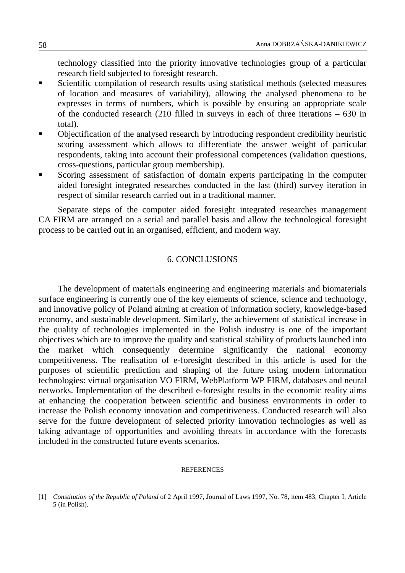technology classified into the priority innovative technologies group of a particular research field subjected to foresight research.

- Scientific compilation of research results using statistical methods (selected measures of location and measures of variability), allowing the analysed phenomena to be expresses in terms of numbers, which is possible by ensuring an appropriate scale of the conducted research (210 filled in surveys in each of three iterations – 630 in total).
- Objectification of the analysed research by introducing respondent credibility heuristic scoring assessment which allows to differentiate the answer weight of particular respondents, taking into account their professional competences (validation questions, cross-questions, particular group membership).
- Scoring assessment of satisfaction of domain experts participating in the computer aided foresight integrated researches conducted in the last (third) survey iteration in respect of similar research carried out in a traditional manner.

Separate steps of the computer aided foresight integrated researches management CA FIRM are arranged on a serial and parallel basis and allow the technological foresight process to be carried out in an organised, efficient, and modern way.

## 6. CONCLUSIONS

The development of materials engineering and engineering materials and biomaterials surface engineering is currently one of the key elements of science, science and technology, and innovative policy of Poland aiming at creation of information society, knowledge-based economy, and sustainable development. Similarly, the achievement of statistical increase in the quality of technologies implemented in the Polish industry is one of the important objectives which are to improve the quality and statistical stability of products launched into the market which consequently determine significantly the national economy competitiveness. The realisation of e-foresight described in this article is used for the purposes of scientific prediction and shaping of the future using modern information technologies: virtual organisation VO FIRM, WebPlatform WP FIRM, databases and neural networks. Implementation of the described e-foresight results in the economic reality aims at enhancing the cooperation between scientific and business environments in order to increase the Polish economy innovation and competitiveness. Conducted research will also serve for the future development of selected priority innovation technologies as well as taking advantage of opportunities and avoiding threats in accordance with the forecasts included in the constructed future events scenarios.

#### **REFERENCES**

<sup>[1]</sup> *Constitution of the Republic of Poland* of 2 April 1997, Journal of Laws 1997, No. 78, item 483, Chapter I, Article 5 (in Polish).